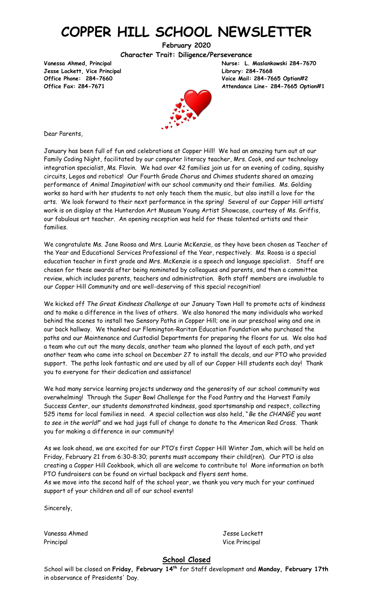# **COPPER HILL SCHOOL NEWSLETTER**

**February 2020**

**Character Trait: Diligence/Perseverance**

**Jesse Lockett, Vice Principal Library: 284-7668**

**Vanessa Ahmed, Principal Nurse: L. Maslankowski 284-7670 Office Phone: 284-7660 Voice Mail: 284-7665 Option#2 Office Fax: 284-7671 Attendance Line- 284-7665 Option#1**



Dear Parents,

January has been full of fun and celebrations at Copper Hill! We had an amazing turn out at our Family Coding Night, facilitated by our computer literacy teacher, Mrs. Cook, and our technology integration specialist, Ms. Flavin. We had over 42 families join us for an evening of coding, squishy circuits, Legos and robotics! Our Fourth Grade Chorus and Chimes students shared an amazing performance of *Animal Imagination!* with our school community and their families. Ms. Golding works so hard with her students to not only teach them the music, but also instill a love for the arts. We look forward to their next performance in the spring! Several of our Copper Hill artists' work is on display at the Hunterdon Art Museum Young Artist Showcase, courtesy of Ms. Griffis, our fabulous art teacher. An opening reception was held for these talented artists and their families.

We congratulate Ms. Jane Roosa and Mrs. Laurie McKenzie, as they have been chosen as Teacher of the Year and Educational Services Professional of the Year, respectively. Ms. Roosa is a special education teacher in first grade and Mrs. McKenzie is a speech and language specialist. Staff are chosen for these awards after being nominated by colleagues and parents, and then a committee review, which includes parents, teachers and administration. Both staff members are invaluable to our Copper Hill Community and are well-deserving of this special recognition!

We kicked off *The Great Kindness Challenge* at our January Town Hall to promote acts of kindness and to make a difference in the lives of others. We also honored the many individuals who worked behind the scenes to install two Sensory Paths in Copper Hill; one in our preschool wing and one in our back hallway. We thanked our Flemington-Raritan Education Foundation who purchased the paths and our Maintenance and Custodial Departments for preparing the floors for us. We also had a team who cut out the many decals, another team who planned the layout of each path, and yet another team who came into school on December 27 to install the decals, and our PTO who provided support. The paths look fantastic and are used by all of our Copper Hill students each day! Thank you to everyone for their dedication and assistance!

We had many service learning projects underway and the generosity of our school community was overwhelming! Through the Super Bowl Challenge for the Food Pantry and the Harvest Family Success Center, our students demonstrated kindness, good sportsmanship and respect, collecting 525 items for local families in need. A special collection was also held, "*Be the CHANGE you want to see in the world!*" and we had jugs full of change to donate to the American Red Cross. Thank you for making a difference in our community!

As we look ahead, we are excited for our PTO's first Copper Hill Winter Jam, which will be held on Friday, February 21 from 6:30-8:30; parents must accompany their child(ren). Our PTO is also creating a Copper Hill Cookbook, which all are welcome to contribute to! More information on both PTO fundraisers can be found on virtual backpack and flyers sent home.

As we move into the second half of the school year, we thank you very much for your continued support of your children and all of our school events!

Sincerely,

Vanessa Ahmed Jesse Lockett Principal Vice Principal Vice Principal Vice Principal Vice Principal Vice Principal Vice Principal Vice Principal Vice Principal Vice Principal Vice Principal Vice Principal Vice Principal Vice Principal Vice Principal Vi

**School Closed**

School will be closed on **Friday, February 14 th** for Staff development and **Monday, February 17th** in observance of Presidents' Day.